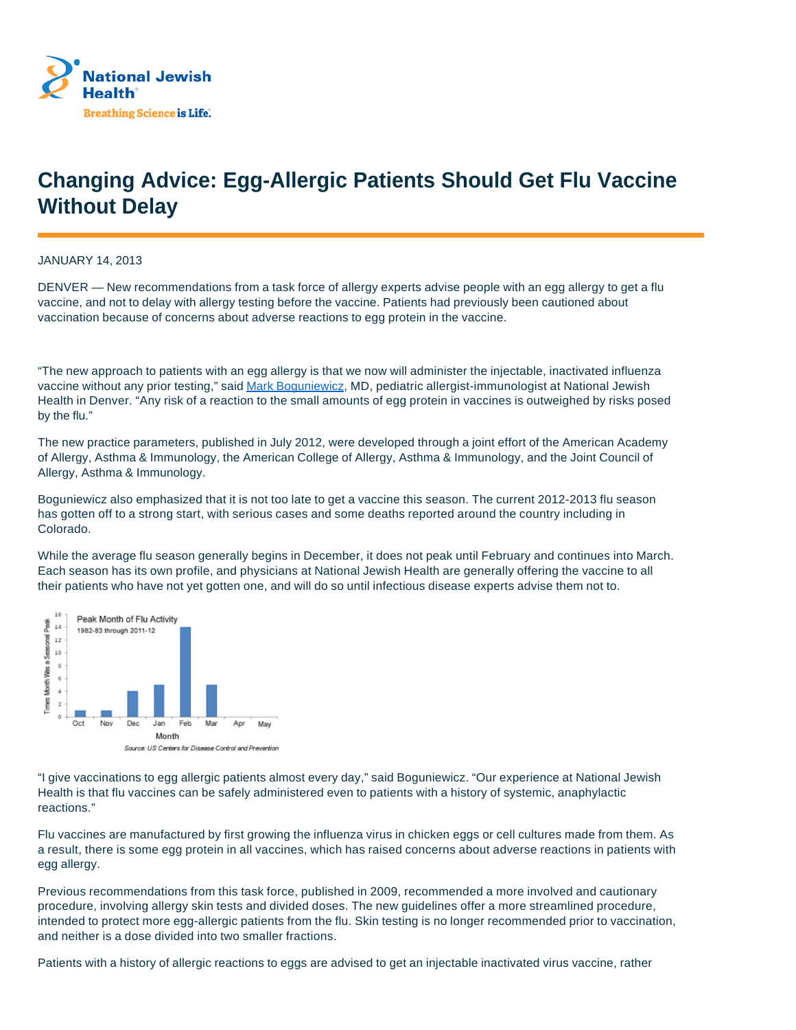

## **Changing Advice: Egg-Allergic Patients Should Get Flu Vaccine Without Delay**

JANUARY 14, 2013

DENVER — New recommendations from a task force of allergy experts advise people with an egg allergy to get a flu vaccine, and not to delay with allergy testing before the vaccine. Patients had previously been cautioned about vaccination because of concerns about adverse reactions to egg protein in the vaccine.

"The new approach to patients with an egg allergy is that we now will administer the injectable, inactivated influenza vaccine without any prior testing," said Mark Boguniewicz, MD, pediatric allergist-immunologist at National Jewish Health in Denver. "Any risk of a reaction to the small amounts of egg protein in vaccines is outweighed by risks posed by the flu."

The new practice parameters, published in July 2012, were developed through a joint effort of the American Academy of Allergy, Asthma & Immunology, the American College of Allergy, Asthma & Immunology, and the Joint Council of Allergy, Asthma & Immunology.

Boguniewicz also emphasized that it is not too late to get a vaccine this season. The current 2012-2013 flu season has gotten off to a strong start, with serious cases and some deaths reported around the country including in Colorado.

While the average flu season generally begins in December, it does not peak until February and continues into March. Each season has its own profile, and physicians at National Jewish Health are generally offering the vaccine to all their patients who have not yet gotten one, and will do so until infectious disease experts advise them not to.



"I give vaccinations to egg allergic patients almost every day," said Boguniewicz. "Our experience at National Jewish Health is that flu vaccines can be safely administered even to patients with a history of systemic, anaphylactic reactions."

Flu vaccines are manufactured by first growing the influenza virus in chicken eggs or cell cultures made from them. As a result, there is some egg protein in all vaccines, which has raised concerns about adverse reactions in patients with egg allergy.

Previous recommendations from this task force, published in 2009, recommended a more involved and cautionary procedure, involving allergy skin tests and divided doses. The new guidelines offer a more streamlined procedure, intended to protect more egg-allergic patients from the flu. Skin testing is no longer recommended prior to vaccination, and neither is a dose divided into two smaller fractions.

Patients with a history of allergic reactions to eggs are advised to get an injectable inactivated virus vaccine, rather